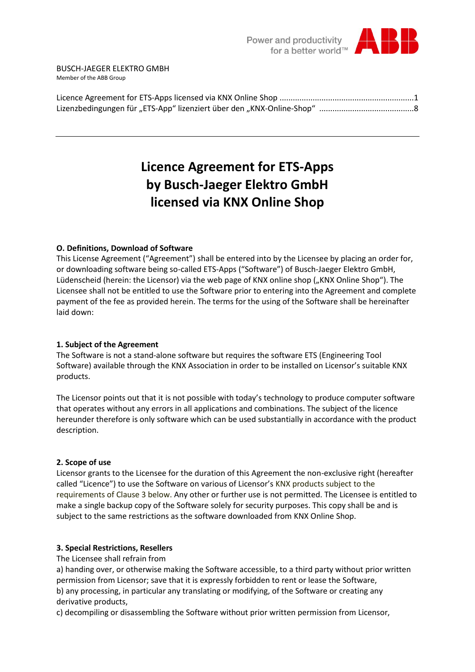

## **Licence Agreement for ETS-Apps by Busch-Jaeger Elektro GmbH licensed via KNX Online Shop**

#### **O. Definitions, Download of Software**

This License Agreement ("Agreement") shall be entered into by the Licensee by placing an order for, or downloading software being so-called ETS-Apps ("Software") of Busch-Jaeger Elektro GmbH, Lüdenscheid (herein: the Licensor) via the web page of KNX online shop ("KNX Online Shop"). The Licensee shall not be entitled to use the Software prior to entering into the Agreement and complete payment of the fee as provided herein. The terms for the using of the Software shall be hereinafter laid down:

#### **1. Subject of the Agreement**

The Software is not a stand-alone software but requires the software ETS (Engineering Tool Software) available through the KNX Association in order to be installed on Licensor's suitable KNX products.

The Licensor points out that it is not possible with today's technology to produce computer software that operates without any errors in all applications and combinations. The subject of the licence hereunder therefore is only software which can be used substantially in accordance with the product description.

#### **2. Scope of use**

Licensor grants to the Licensee for the duration of this Agreement the non-exclusive right (hereafter called "Licence") to use the Software on various of Licensor's KNX products subject to the requirements of Clause 3 below. Any other or further use is not permitted. The Licensee is entitled to make a single backup copy of the Software solely for security purposes. This copy shall be and is subject to the same restrictions as the software downloaded from KNX Online Shop.

## **3. Special Restrictions, Resellers**

The Licensee shall refrain from

a) handing over, or otherwise making the Software accessible, to a third party without prior written permission from Licensor; save that it is expressly forbidden to rent or lease the Software, b) any processing, in particular any translating or modifying, of the Software or creating any derivative products,

c) decompiling or disassembling the Software without prior written permission from Licensor,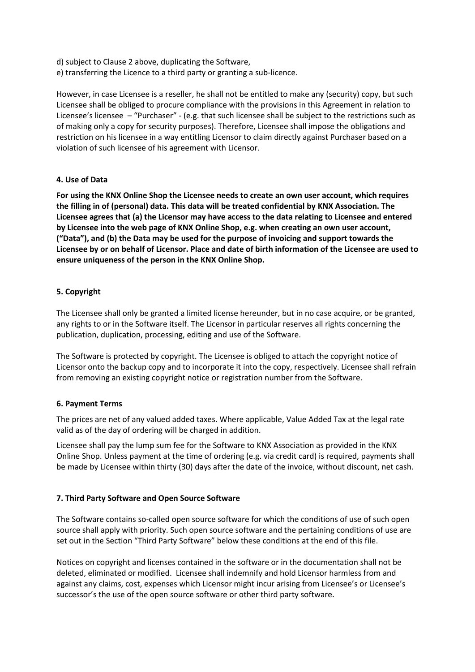d) subject to Clause 2 above, duplicating the Software,

e) transferring the Licence to a third party or granting a sub-licence.

However, in case Licensee is a reseller, he shall not be entitled to make any (security) copy, but such Licensee shall be obliged to procure compliance with the provisions in this Agreement in relation to Licensee's licensee – "Purchaser" - (e.g. that such licensee shall be subject to the restrictions such as of making only a copy for security purposes). Therefore, Licensee shall impose the obligations and restriction on his licensee in a way entitling Licensor to claim directly against Purchaser based on a violation of such licensee of his agreement with Licensor.

#### **4. Use of Data**

**For using the KNX Online Shop the Licensee needs to create an own user account, which requires the filling in of (personal) data. This data will be treated confidential by KNX Association. The Licensee agrees that (a) the Licensor may have access to the data relating to Licensee and entered by Licensee into the web page of KNX Online Shop, e.g. when creating an own user account, ("Data"), and (b) the Data may be used for the purpose of invoicing and support towards the Licensee by or on behalf of Licensor. Place and date of birth information of the Licensee are used to ensure uniqueness of the person in the KNX Online Shop.** 

## **5. Copyright**

The Licensee shall only be granted a limited license hereunder, but in no case acquire, or be granted, any rights to or in the Software itself. The Licensor in particular reserves all rights concerning the publication, duplication, processing, editing and use of the Software.

The Software is protected by copyright. The Licensee is obliged to attach the copyright notice of Licensor onto the backup copy and to incorporate it into the copy, respectively. Licensee shall refrain from removing an existing copyright notice or registration number from the Software.

## **6. Payment Terms**

The prices are net of any valued added taxes. Where applicable, Value Added Tax at the legal rate valid as of the day of ordering will be charged in addition.

Licensee shall pay the lump sum fee for the Software to KNX Association as provided in the KNX Online Shop. Unless payment at the time of ordering (e.g. via credit card) is required, payments shall be made by Licensee within thirty (30) days after the date of the invoice, without discount, net cash.

## **7. Third Party Software and Open Source Software**

The Software contains so-called open source software for which the conditions of use of such open source shall apply with priority. Such open source software and the pertaining conditions of use are set out in the Section "Third Party Software" below these conditions at the end of this file.

Notices on copyright and licenses contained in the software or in the documentation shall not be deleted, eliminated or modified. Licensee shall indemnify and hold Licensor harmless from and against any claims, cost, expenses which Licensor might incur arising from Licensee's or Licensee's successor's the use of the open source software or other third party software.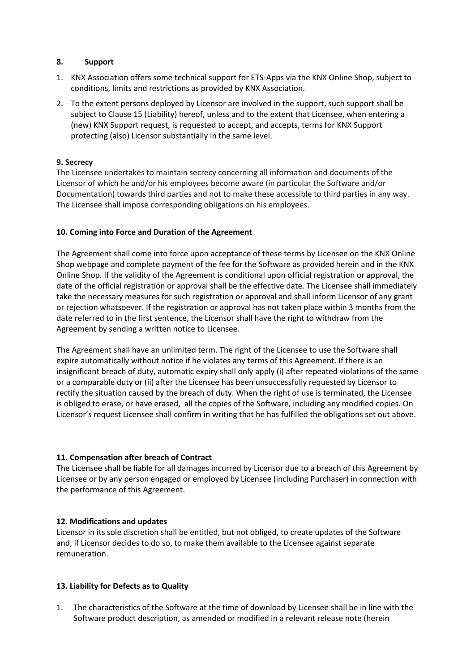#### **8. Support**

- 1. KNX Association offers some technical support for ETS-Apps via the KNX Online Shop, subject to conditions, limits and restrictions as provided by KNX Association.
- 2. To the extent persons deployed by Licensor are involved in the support, such support shall be subject to Clause 15 (Liability) hereof, unless and to the extent that Licensee, when entering a (new) KNX Support request, is requested to accept, and accepts, terms for KNX Support protecting (also) Licensor substantially in the same level.

#### **9. Secrecy**

The Licensee undertakes to maintain secrecy concerning all information and documents of the Licensor of which he and/or his employees become aware (in particular the Software and/or Documentation) towards third parties and not to make these accessible to third parties in any way. The Licensee shall impose corresponding obligations on his employees.

#### **10. Coming into Force and Duration of the Agreement**

The Agreement shall come into force upon acceptance of these terms by Licensee on the KNX Online Shop webpage and complete payment of the fee for the Software as provided herein and in the KNX Online Shop. If the validity of the Agreement is conditional upon official registration or approval, the date of the official registration or approval shall be the effective date. The Licensee shall immediately take the necessary measures for such registration or approval and shall inform Licensor of any grant or rejection whatsoever. If the registration or approval has not taken place within 3 months from the date referred to in the first sentence, the Licensor shall have the right to withdraw from the Agreement by sending a written notice to Licensee.

The Agreement shall have an unlimited term. The right of the Licensee to use the Software shall expire automatically without notice if he violates any terms of this Agreement. If there is an insignificant breach of duty, automatic expiry shall only apply (i) after repeated violations of the same or a comparable duty or (ii) after the Licensee has been unsuccessfully requested by Licensor to rectify the situation caused by the breach of duty. When the right of use is terminated, the Licensee is obliged to erase, or have erased, all the copies of the Software, including any modified copies. On Licensor's request Licensee shall confirm in writing that he has fulfilled the obligations set out above.

#### **11. Compensation after breach of Contract**

The Licensee shall be liable for all damages incurred by Licensor due to a breach of this Agreement by Licensee or by any person engaged or employed by Licensee (including Purchaser) in connection with the performance of this Agreement.

#### **12. Modifications and updates**

Licensor in its sole discretion shall be entitled, but not obliged, to create updates of the Software and, if Licensor decides to do so, to make them available to the Licensee against separate remuneration.

#### **13. Liability for Defects as to Quality**

1. The characteristics of the Software at the time of download by Licensee shall be in line with the Software product description, as amended or modified in a relevant release note (herein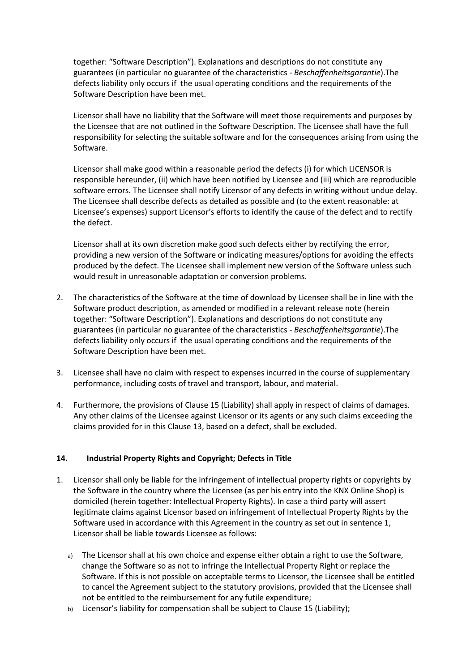together: "Software Description"). Explanations and descriptions do not constitute any guarantees (in particular no guarantee of the characteristics - *Beschaffenheitsgarantie*).The defects liability only occurs if the usual operating conditions and the requirements of the Software Description have been met.

Licensor shall have no liability that the Software will meet those requirements and purposes by the Licensee that are not outlined in the Software Description. The Licensee shall have the full responsibility for selecting the suitable software and for the consequences arising from using the Software.

Licensor shall make good within a reasonable period the defects (i) for which LICENSOR is responsible hereunder, (ii) which have been notified by Licensee and (iii) which are reproducible software errors. The Licensee shall notify Licensor of any defects in writing without undue delay. The Licensee shall describe defects as detailed as possible and (to the extent reasonable: at Licensee's expenses) support Licensor's efforts to identify the cause of the defect and to rectify the defect.

Licensor shall at its own discretion make good such defects either by rectifying the error, providing a new version of the Software or indicating measures/options for avoiding the effects produced by the defect. The Licensee shall implement new version of the Software unless such would result in unreasonable adaptation or conversion problems.

- 2. The characteristics of the Software at the time of download by Licensee shall be in line with the Software product description, as amended or modified in a relevant release note (herein together: "Software Description"). Explanations and descriptions do not constitute any guarantees (in particular no guarantee of the characteristics - *Beschaffenheitsgarantie*).The defects liability only occurs if the usual operating conditions and the requirements of the Software Description have been met.
- 3. Licensee shall have no claim with respect to expenses incurred in the course of supplementary performance, including costs of travel and transport, labour, and material.
- 4. Furthermore, the provisions of Clause 15 (Liability) shall apply in respect of claims of damages. Any other claims of the Licensee against Licensor or its agents or any such claims exceeding the claims provided for in this Clause 13, based on a defect, shall be excluded.

## **14. Industrial Property Rights and Copyright; Defects in Title**

- 1. Licensor shall only be liable for the infringement of intellectual property rights or copyrights by the Software in the country where the Licensee (as per his entry into the KNX Online Shop) is domiciled (herein together: Intellectual Property Rights). In case a third party will assert legitimate claims against Licensor based on infringement of Intellectual Property Rights by the Software used in accordance with this Agreement in the country as set out in sentence 1, Licensor shall be liable towards Licensee as follows:
	- a) The Licensor shall at his own choice and expense either obtain a right to use the Software. change the Software so as not to infringe the Intellectual Property Right or replace the Software. If this is not possible on acceptable terms to Licensor, the Licensee shall be entitled to cancel the Agreement subject to the statutory provisions, provided that the Licensee shall not be entitled to the reimbursement for any futile expenditure;
	- b) Licensor's liability for compensation shall be subject to Clause 15 (Liability);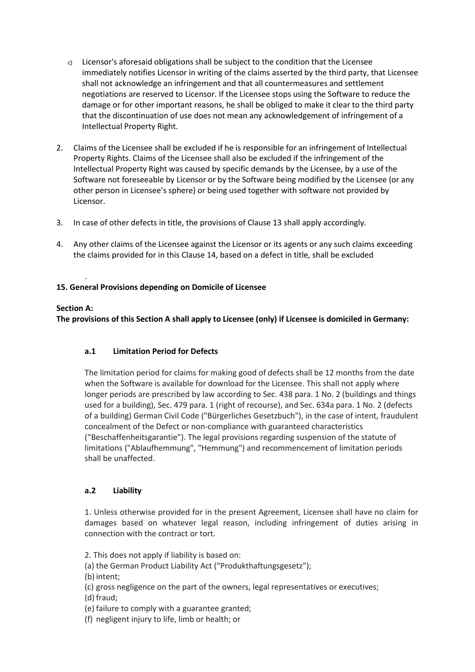- c) Licensor's aforesaid obligations shall be subject to the condition that the Licensee immediately notifies Licensor in writing of the claims asserted by the third party, that Licensee shall not acknowledge an infringement and that all countermeasures and settlement negotiations are reserved to Licensor. If the Licensee stops using the Software to reduce the damage or for other important reasons, he shall be obliged to make it clear to the third party that the discontinuation of use does not mean any acknowledgement of infringement of a Intellectual Property Right.
- 2. Claims of the Licensee shall be excluded if he is responsible for an infringement of Intellectual Property Rights. Claims of the Licensee shall also be excluded if the infringement of the Intellectual Property Right was caused by specific demands by the Licensee, by a use of the Software not foreseeable by Licensor or by the Software being modified by the Licensee (or any other person in Licensee's sphere) or being used together with software not provided by Licensor.
- 3. In case of other defects in title, the provisions of Clause 13 shall apply accordingly.
- 4. Any other claims of the Licensee against the Licensor or its agents or any such claims exceeding the claims provided for in this Clause 14, based on a defect in title, shall be excluded

#### . **15. General Provisions depending on Domicile of Licensee**

## **Section A:**

**The provisions of this Section A shall apply to Licensee (only) if Licensee is domiciled in Germany:**

## **a.1 Limitation Period for Defects**

The limitation period for claims for making good of defects shall be 12 months from the date when the Software is available for download for the Licensee. This shall not apply where longer periods are prescribed by law according to Sec. 438 para. 1 No. 2 (buildings and things used for a building), Sec. 479 para. 1 (right of recourse), and Sec. 634a para. 1 No. 2 (defects of a building) German Civil Code ("Bürgerliches Gesetzbuch"), in the case of intent, fraudulent concealment of the Defect or non-compliance with guaranteed characteristics ("Beschaffenheitsgarantie"). The legal provisions regarding suspension of the statute of limitations ("Ablaufhemmung", "Hemmung") and recommencement of limitation periods shall be unaffected.

## **a.2 Liability**

1. Unless otherwise provided for in the present Agreement, Licensee shall have no claim for damages based on whatever legal reason, including infringement of duties arising in connection with the contract or tort.

- 2. This does not apply if liability is based on:
- (a) the German Product Liability Act ("Produkthaftungsgesetz");
- (b) intent;
- (c) gross negligence on the part of the owners, legal representatives or executives;
- (d) fraud;
- (e) failure to comply with a guarantee granted;
- (f) negligent injury to life, limb or health; or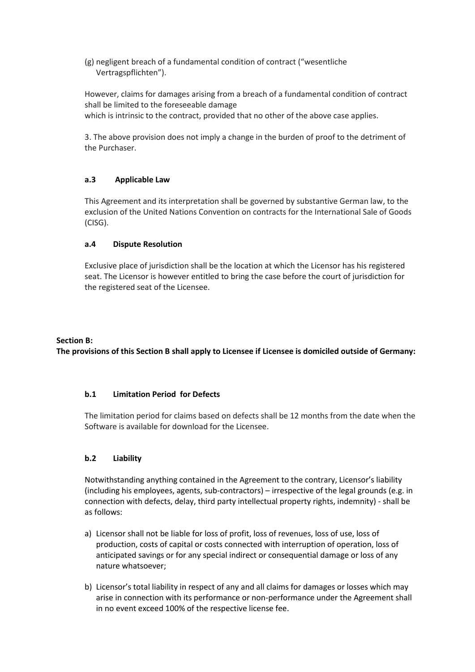(g) negligent breach of a fundamental condition of contract ("wesentliche Vertragspflichten").

However, claims for damages arising from a breach of a fundamental condition of contract shall be limited to the foreseeable damage

which is intrinsic to the contract, provided that no other of the above case applies.

3. The above provision does not imply a change in the burden of proof to the detriment of the Purchaser.

## **a.3 Applicable Law**

This Agreement and its interpretation shall be governed by substantive German law, to the exclusion of the United Nations Convention on contracts for the International Sale of Goods (CISG).

#### **a.4 Dispute Resolution**

Exclusive place of jurisdiction shall be the location at which the Licensor has his registered seat. The Licensor is however entitled to bring the case before the court of jurisdiction for the registered seat of the Licensee.

#### **Section B:**

**The provisions of this Section B shall apply to Licensee if Licensee is domiciled outside of Germany:**

#### **b.1 Limitation Period for Defects**

The limitation period for claims based on defects shall be 12 months from the date when the Software is available for download for the Licensee.

#### **b.2 Liability**

Notwithstanding anything contained in the Agreement to the contrary, Licensor's liability (including his employees, agents, sub-contractors) – irrespective of the legal grounds (e.g. in connection with defects, delay, third party intellectual property rights, indemnity) - shall be as follows:

- a) Licensor shall not be liable for loss of profit, loss of revenues, loss of use, loss of production, costs of capital or costs connected with interruption of operation, loss of anticipated savings or for any special indirect or consequential damage or loss of any nature whatsoever;
- b) Licensor's total liability in respect of any and all claims for damages or losses which may arise in connection with its performance or non-performance under the Agreement shall in no event exceed 100% of the respective license fee.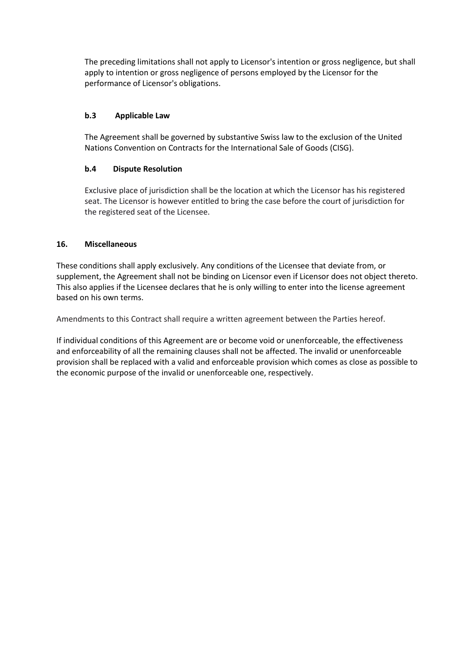The preceding limitations shall not apply to Licensor's intention or gross negligence, but shall apply to intention or gross negligence of persons employed by the Licensor for the performance of Licensor's obligations.

## **b.3 Applicable Law**

The Agreement shall be governed by substantive Swiss law to the exclusion of the United Nations Convention on Contracts for the International Sale of Goods (CISG).

## **b.4 Dispute Resolution**

Exclusive place of jurisdiction shall be the location at which the Licensor has his registered seat. The Licensor is however entitled to bring the case before the court of jurisdiction for the registered seat of the Licensee.

## **16. Miscellaneous**

These conditions shall apply exclusively. Any conditions of the Licensee that deviate from, or supplement, the Agreement shall not be binding on Licensor even if Licensor does not object thereto. This also applies if the Licensee declares that he is only willing to enter into the license agreement based on his own terms.

Amendments to this Contract shall require a written agreement between the Parties hereof.

If individual conditions of this Agreement are or become void or unenforceable, the effectiveness and enforceability of all the remaining clauses shall not be affected. The invalid or unenforceable provision shall be replaced with a valid and enforceable provision which comes as close as possible to the economic purpose of the invalid or unenforceable one, respectively.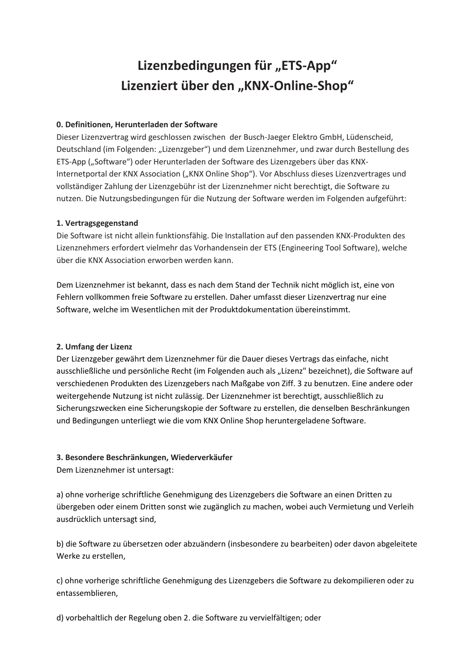# Lizenzbedingungen für "ETS-App" Lizenziert über den "KNX-Online-Shop"

#### **0. Definitionen, Herunterladen der Software**

Dieser Lizenzvertrag wird geschlossen zwischen der Busch-Jaeger Elektro GmbH, Lüdenscheid, Deutschland (im Folgenden: "Lizenzgeber") und dem Lizenznehmer, und zwar durch Bestellung des ETS-App ("Software") oder Herunterladen der Software des Lizenzgebers über das KNX-Internetportal der KNX Association ("KNX Online Shop"). Vor Abschluss dieses Lizenzvertrages und vollständiger Zahlung der Lizenzgebühr ist der Lizenznehmer nicht berechtigt, die Software zu nutzen. Die Nutzungsbedingungen für die Nutzung der Software werden im Folgenden aufgeführt:

#### **1. Vertragsgegenstand**

Die Software ist nicht allein funktionsfähig. Die Installation auf den passenden KNX-Produkten des Lizenznehmers erfordert vielmehr das Vorhandensein der ETS (Engineering Tool Software), welche über die KNX Association erworben werden kann.

Dem Lizenznehmer ist bekannt, dass es nach dem Stand der Technik nicht möglich ist, eine von Fehlern vollkommen freie Software zu erstellen. Daher umfasst dieser Lizenzvertrag nur eine Software, welche im Wesentlichen mit der Produktdokumentation übereinstimmt.

## **2. Umfang der Lizenz**

Der Lizenzgeber gewährt dem Lizenznehmer für die Dauer dieses Vertrags das einfache, nicht ausschließliche und persönliche Recht (im Folgenden auch als "Lizenz" bezeichnet), die Software auf verschiedenen Produkten des Lizenzgebers nach Maßgabe von Ziff. 3 zu benutzen. Eine andere oder weitergehende Nutzung ist nicht zulässig. Der Lizenznehmer ist berechtigt, ausschließlich zu Sicherungszwecken eine Sicherungskopie der Software zu erstellen, die denselben Beschränkungen und Bedingungen unterliegt wie die vom KNX Online Shop heruntergeladene Software.

## **3. Besondere Beschränkungen, Wiederverkäufer**

Dem Lizenznehmer ist untersagt:

a) ohne vorherige schriftliche Genehmigung des Lizenzgebers die Software an einen Dritten zu übergeben oder einem Dritten sonst wie zugänglich zu machen, wobei auch Vermietung und Verleih ausdrücklich untersagt sind,

b) die Software zu übersetzen oder abzuändern (insbesondere zu bearbeiten) oder davon abgeleitete Werke zu erstellen,

c) ohne vorherige schriftliche Genehmigung des Lizenzgebers die Software zu dekompilieren oder zu entassemblieren,

d) vorbehaltlich der Regelung oben 2. die Software zu vervielfältigen; oder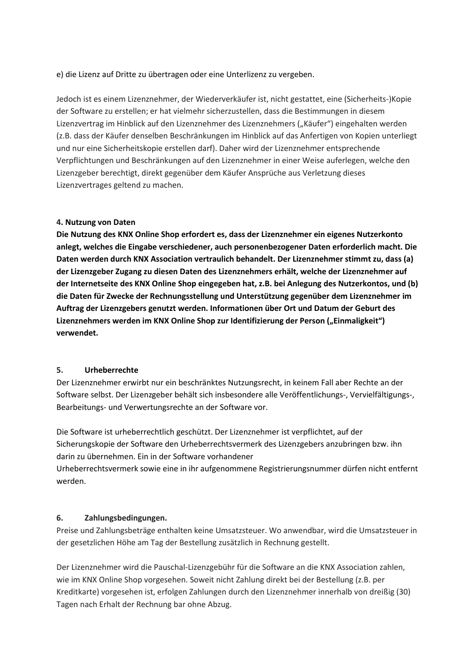e) die Lizenz auf Dritte zu übertragen oder eine Unterlizenz zu vergeben.

Jedoch ist es einem Lizenznehmer, der Wiederverkäufer ist, nicht gestattet, eine (Sicherheits-)Kopie der Software zu erstellen; er hat vielmehr sicherzustellen, dass die Bestimmungen in diesem Lizenzvertrag im Hinblick auf den Lizenznehmer des Lizenznehmers ("Käufer") eingehalten werden (z.B. dass der Käufer denselben Beschränkungen im Hinblick auf das Anfertigen von Kopien unterliegt und nur eine Sicherheitskopie erstellen darf). Daher wird der Lizenznehmer entsprechende Verpflichtungen und Beschränkungen auf den Lizenznehmer in einer Weise auferlegen, welche den Lizenzgeber berechtigt, direkt gegenüber dem Käufer Ansprüche aus Verletzung dieses Lizenzvertrages geltend zu machen.

#### **4. Nutzung von Daten**

**Die Nutzung des KNX Online Shop erfordert es, dass der Lizenznehmer ein eigenes Nutzerkonto anlegt, welches die Eingabe verschiedener, auch personenbezogener Daten erforderlich macht. Die Daten werden durch KNX Association vertraulich behandelt. Der Lizenznehmer stimmt zu, dass (a) der Lizenzgeber Zugang zu diesen Daten des Lizenznehmers erhält, welche der Lizenznehmer auf der Internetseite des KNX Online Shop eingegeben hat, z.B. bei Anlegung des Nutzerkontos, und (b) die Daten für Zwecke der Rechnungsstellung und Unterstützung gegenüber dem Lizenznehmer im Auftrag der Lizenzgebers genutzt werden. Informationen über Ort und Datum der Geburt des**  Lizenznehmers werden im KNX Online Shop zur Identifizierung der Person ("Einmaligkeit") **verwendet.**

#### **5. Urheberrechte**

Der Lizenznehmer erwirbt nur ein beschränktes Nutzungsrecht, in keinem Fall aber Rechte an der Software selbst. Der Lizenzgeber behält sich insbesondere alle Veröffentlichungs-, Vervielfältigungs-, Bearbeitungs- und Verwertungsrechte an der Software vor.

Die Software ist urheberrechtlich geschützt. Der Lizenznehmer ist verpflichtet, auf der Sicherungskopie der Software den Urheberrechtsvermerk des Lizenzgebers anzubringen bzw. ihn darin zu übernehmen. Ein in der Software vorhandener

Urheberrechtsvermerk sowie eine in ihr aufgenommene Registrierungsnummer dürfen nicht entfernt werden.

#### **6. Zahlungsbedingungen.**

Preise und Zahlungsbeträge enthalten keine Umsatzsteuer. Wo anwendbar, wird die Umsatzsteuer in der gesetzlichen Höhe am Tag der Bestellung zusätzlich in Rechnung gestellt.

Der Lizenznehmer wird die Pauschal-Lizenzgebühr für die Software an die KNX Association zahlen, wie im KNX Online Shop vorgesehen. Soweit nicht Zahlung direkt bei der Bestellung (z.B. per Kreditkarte) vorgesehen ist, erfolgen Zahlungen durch den Lizenznehmer innerhalb von dreißig (30) Tagen nach Erhalt der Rechnung bar ohne Abzug.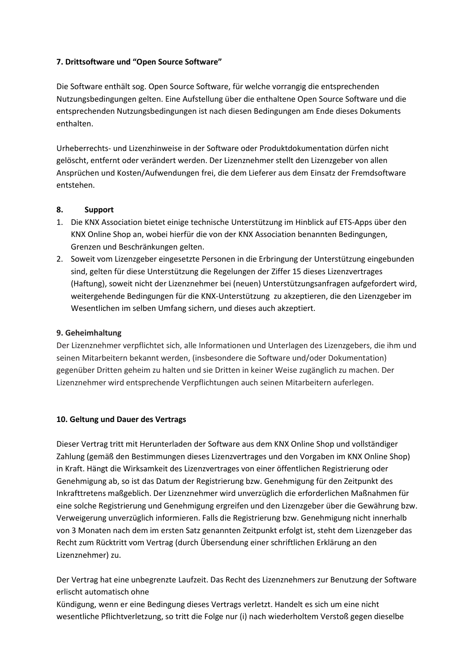#### **7. Drittsoftware und "Open Source Software"**

Die Software enthält sog. Open Source Software, für welche vorrangig die entsprechenden Nutzungsbedingungen gelten. Eine Aufstellung über die enthaltene Open Source Software und die entsprechenden Nutzungsbedingungen ist nach diesen Bedingungen am Ende dieses Dokuments enthalten.

Urheberrechts- und Lizenzhinweise in der Software oder Produktdokumentation dürfen nicht gelöscht, entfernt oder verändert werden. Der Lizenznehmer stellt den Lizenzgeber von allen Ansprüchen und Kosten/Aufwendungen frei, die dem Lieferer aus dem Einsatz der Fremdsoftware entstehen.

#### **8. Support**

- 1. Die KNX Association bietet einige technische Unterstützung im Hinblick auf ETS-Apps über den KNX Online Shop an, wobei hierfür die von der KNX Association benannten Bedingungen, Grenzen und Beschränkungen gelten.
- 2. Soweit vom Lizenzgeber eingesetzte Personen in die Erbringung der Unterstützung eingebunden sind, gelten für diese Unterstützung die Regelungen der Ziffer 15 dieses Lizenzvertrages (Haftung), soweit nicht der Lizenznehmer bei (neuen) Unterstützungsanfragen aufgefordert wird, weitergehende Bedingungen für die KNX-Unterstützung zu akzeptieren, die den Lizenzgeber im Wesentlichen im selben Umfang sichern, und dieses auch akzeptiert.

#### **9. Geheimhaltung**

Der Lizenznehmer verpflichtet sich, alle Informationen und Unterlagen des Lizenzgebers, die ihm und seinen Mitarbeitern bekannt werden, (insbesondere die Software und/oder Dokumentation) gegenüber Dritten geheim zu halten und sie Dritten in keiner Weise zugänglich zu machen. Der Lizenznehmer wird entsprechende Verpflichtungen auch seinen Mitarbeitern auferlegen.

#### **10. Geltung und Dauer des Vertrags**

Dieser Vertrag tritt mit Herunterladen der Software aus dem KNX Online Shop und vollständiger Zahlung (gemäß den Bestimmungen dieses Lizenzvertrages und den Vorgaben im KNX Online Shop) in Kraft. Hängt die Wirksamkeit des Lizenzvertrages von einer öffentlichen Registrierung oder Genehmigung ab, so ist das Datum der Registrierung bzw. Genehmigung für den Zeitpunkt des Inkrafttretens maßgeblich. Der Lizenznehmer wird unverzüglich die erforderlichen Maßnahmen für eine solche Registrierung und Genehmigung ergreifen und den Lizenzgeber über die Gewährung bzw. Verweigerung unverzüglich informieren. Falls die Registrierung bzw. Genehmigung nicht innerhalb von 3 Monaten nach dem im ersten Satz genannten Zeitpunkt erfolgt ist, steht dem Lizenzgeber das Recht zum Rücktritt vom Vertrag (durch Übersendung einer schriftlichen Erklärung an den Lizenznehmer) zu.

Der Vertrag hat eine unbegrenzte Laufzeit. Das Recht des Lizenznehmers zur Benutzung der Software erlischt automatisch ohne

Kündigung, wenn er eine Bedingung dieses Vertrags verletzt. Handelt es sich um eine nicht wesentliche Pflichtverletzung, so tritt die Folge nur (i) nach wiederholtem Verstoß gegen dieselbe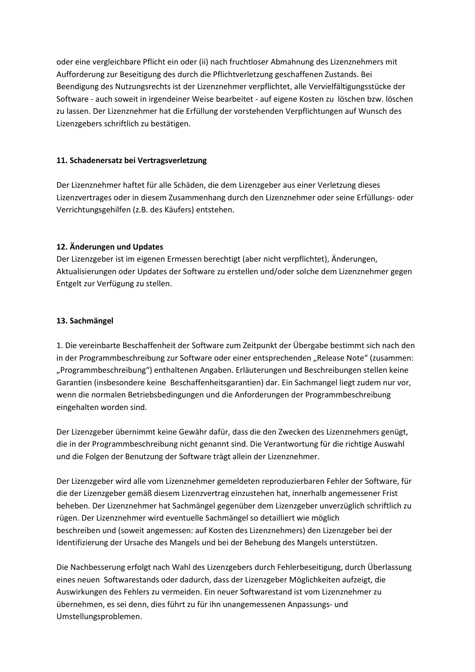oder eine vergleichbare Pflicht ein oder (ii) nach fruchtloser Abmahnung des Lizenznehmers mit Aufforderung zur Beseitigung des durch die Pflichtverletzung geschaffenen Zustands. Bei Beendigung des Nutzungsrechts ist der Lizenznehmer verpflichtet, alle Vervielfältigungsstücke der Software - auch soweit in irgendeiner Weise bearbeitet - auf eigene Kosten zu löschen bzw. löschen zu lassen. Der Lizenznehmer hat die Erfüllung der vorstehenden Verpflichtungen auf Wunsch des Lizenzgebers schriftlich zu bestätigen.

#### **11. Schadenersatz bei Vertragsverletzung**

Der Lizenznehmer haftet für alle Schäden, die dem Lizenzgeber aus einer Verletzung dieses Lizenzvertrages oder in diesem Zusammenhang durch den Lizenznehmer oder seine Erfüllungs- oder Verrichtungsgehilfen (z.B. des Käufers) entstehen.

## **12. Änderungen und Updates**

Der Lizenzgeber ist im eigenen Ermessen berechtigt (aber nicht verpflichtet), Änderungen, Aktualisierungen oder Updates der Software zu erstellen und/oder solche dem Lizenznehmer gegen Entgelt zur Verfügung zu stellen.

## **13. Sachmängel**

1. Die vereinbarte Beschaffenheit der Software zum Zeitpunkt der Übergabe bestimmt sich nach den in der Programmbeschreibung zur Software oder einer entsprechenden "Release Note" (zusammen: "Programmbeschreibung") enthaltenen Angaben. Erläuterungen und Beschreibungen stellen keine Garantien (insbesondere keine Beschaffenheitsgarantien) dar. Ein Sachmangel liegt zudem nur vor, wenn die normalen Betriebsbedingungen und die Anforderungen der Programmbeschreibung eingehalten worden sind.

Der Lizenzgeber übernimmt keine Gewähr dafür, dass die den Zwecken des Lizenznehmers genügt, die in der Programmbeschreibung nicht genannt sind. Die Verantwortung für die richtige Auswahl und die Folgen der Benutzung der Software trägt allein der Lizenznehmer.

Der Lizenzgeber wird alle vom Lizenznehmer gemeldeten reproduzierbaren Fehler der Software, für die der Lizenzgeber gemäß diesem Lizenzvertrag einzustehen hat, innerhalb angemessener Frist beheben. Der Lizenznehmer hat Sachmängel gegenüber dem Lizenzgeber unverzüglich schriftlich zu rügen. Der Lizenznehmer wird eventuelle Sachmängel so detailliert wie möglich beschreiben und (soweit angemessen: auf Kosten des Lizenznehmers) den Lizenzgeber bei der Identifizierung der Ursache des Mangels und bei der Behebung des Mangels unterstützen.

Die Nachbesserung erfolgt nach Wahl des Lizenzgebers durch Fehlerbeseitigung, durch Überlassung eines neuen Softwarestands oder dadurch, dass der Lizenzgeber Möglichkeiten aufzeigt, die Auswirkungen des Fehlers zu vermeiden. Ein neuer Softwarestand ist vom Lizenznehmer zu übernehmen, es sei denn, dies führt zu für ihn unangemessenen Anpassungs- und Umstellungsproblemen.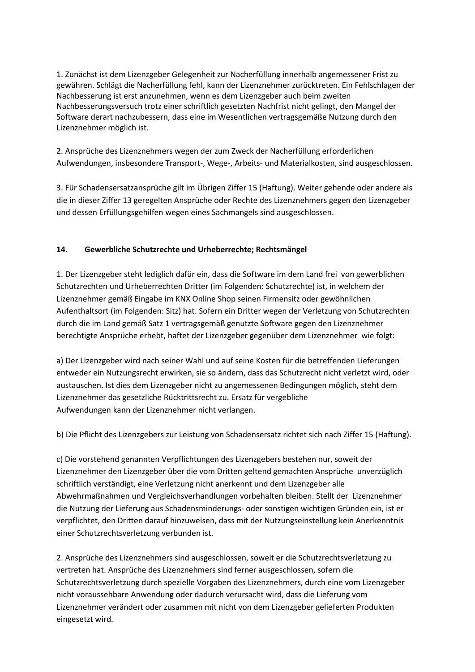1. Zunächst ist dem Lizenzgeber Gelegenheit zur Nacherfüllung innerhalb angemessener Frist zu gewähren. Schlägt die Nacherfüllung fehl, kann der Lizenznehmer zurücktreten. Ein Fehlschlagen der Nachbesserung ist erst anzunehmen, wenn es dem Lizenzgeber auch beim zweiten Nachbesserungsversuch trotz einer schriftlich gesetzten Nachfrist nicht gelingt, den Mangel der Software derart nachzubessern, dass eine im Wesentlichen vertragsgemäße Nutzung durch den Lizenznehmer möglich ist.

2. Ansprüche des Lizenznehmers wegen der zum Zweck der Nacherfüllung erforderlichen Aufwendungen, insbesondere Transport-, Wege-, Arbeits- und Materialkosten, sind ausgeschlossen.

3. Für Schadensersatzansprüche gilt im Übrigen Ziffer 15 (Haftung). Weiter gehende oder andere als die in dieser Ziffer 13 geregelten Ansprüche oder Rechte des Lizenznehmers gegen den Lizenzgeber und dessen Erfüllungsgehilfen wegen eines Sachmangels sind ausgeschlossen.

## **14. Gewerbliche Schutzrechte und Urheberrechte; Rechtsmängel**

1. Der Lizenzgeber steht lediglich dafür ein, dass die Software im dem Land frei von gewerblichen Schutzrechten und Urheberrechten Dritter (im Folgenden: Schutzrechte) ist, in welchem der Lizenznehmer gemäß Eingabe im KNX Online Shop seinen Firmensitz oder gewöhnlichen Aufenthaltsort (im Folgenden: Sitz) hat. Sofern ein Dritter wegen der Verletzung von Schutzrechten durch die im Land gemäß Satz 1 vertragsgemäß genutzte Software gegen den Lizenznehmer berechtigte Ansprüche erhebt, haftet der Lizenzgeber gegenüber dem Lizenznehmer wie folgt:

a) Der Lizenzgeber wird nach seiner Wahl und auf seine Kosten für die betreffenden Lieferungen entweder ein Nutzungsrecht erwirken, sie so ändern, dass das Schutzrecht nicht verletzt wird, oder austauschen. Ist dies dem Lizenzgeber nicht zu angemessenen Bedingungen möglich, steht dem Lizenznehmer das gesetzliche Rücktrittsrecht zu. Ersatz für vergebliche Aufwendungen kann der Lizenznehmer nicht verlangen.

b) Die Pflicht des Lizenzgebers zur Leistung von Schadensersatz richtet sich nach Ziffer 15 (Haftung).

c) Die vorstehend genannten Verpflichtungen des Lizenzgebers bestehen nur, soweit der Lizenznehmer den Lizenzgeber über die vom Dritten geltend gemachten Ansprüche unverzüglich schriftlich verständigt, eine Verletzung nicht anerkennt und dem Lizenzgeber alle Abwehrmaßnahmen und Vergleichsverhandlungen vorbehalten bleiben. Stellt der Lizenznehmer die Nutzung der Lieferung aus Schadensminderungs- oder sonstigen wichtigen Gründen ein, ist er verpflichtet, den Dritten darauf hinzuweisen, dass mit der Nutzungseinstellung kein Anerkenntnis einer Schutzrechtsverletzung verbunden ist.

2. Ansprüche des Lizenznehmers sind ausgeschlossen, soweit er die Schutzrechtsverletzung zu vertreten hat. Ansprüche des Lizenznehmers sind ferner ausgeschlossen, sofern die Schutzrechtsverletzung durch spezielle Vorgaben des Lizenznehmers, durch eine vom Lizenzgeber nicht voraussehbare Anwendung oder dadurch verursacht wird, dass die Lieferung vom Lizenznehmer verändert oder zusammen mit nicht von dem Lizenzgeber gelieferten Produkten eingesetzt wird.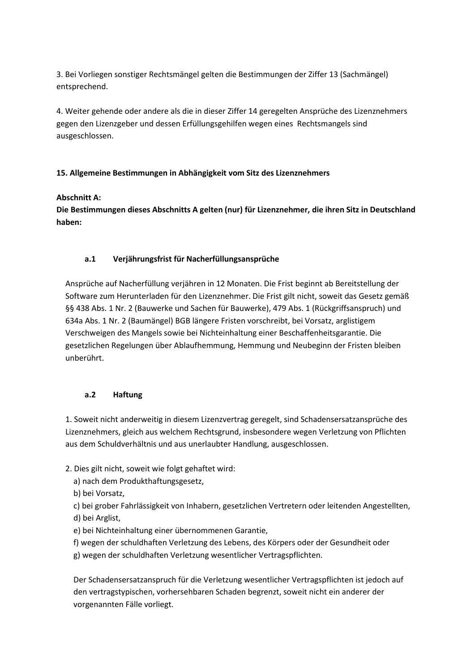3. Bei Vorliegen sonstiger Rechtsmängel gelten die Bestimmungen der Ziffer 13 (Sachmängel) entsprechend.

4. Weiter gehende oder andere als die in dieser Ziffer 14 geregelten Ansprüche des Lizenznehmers gegen den Lizenzgeber und dessen Erfüllungsgehilfen wegen eines Rechtsmangels sind ausgeschlossen.

## **15. Allgemeine Bestimmungen in Abhängigkeit vom Sitz des Lizenznehmers**

## **Abschnitt A:**

**Die Bestimmungen dieses Abschnitts A gelten (nur) für Lizenznehmer, die ihren Sitz in Deutschland haben:**

## **a.1 Verjährungsfrist für Nacherfüllungsansprüche**

Ansprüche auf Nacherfüllung verjähren in 12 Monaten. Die Frist beginnt ab Bereitstellung der Software zum Herunterladen für den Lizenznehmer. Die Frist gilt nicht, soweit das Gesetz gemäß §§ 438 Abs. 1 Nr. 2 (Bauwerke und Sachen für Bauwerke), 479 Abs. 1 (Rückgriffsanspruch) und 634a Abs. 1 Nr. 2 (Baumängel) BGB längere Fristen vorschreibt, bei Vorsatz, arglistigem Verschweigen des Mangels sowie bei Nichteinhaltung einer Beschaffenheitsgarantie. Die gesetzlichen Regelungen über Ablaufhemmung, Hemmung und Neubeginn der Fristen bleiben unberührt.

## **a.2 Haftung**

1. Soweit nicht anderweitig in diesem Lizenzvertrag geregelt, sind Schadensersatzansprüche des Lizenznehmers, gleich aus welchem Rechtsgrund, insbesondere wegen Verletzung von Pflichten aus dem Schuldverhältnis und aus unerlaubter Handlung, ausgeschlossen.

- 2. Dies gilt nicht, soweit wie folgt gehaftet wird:
	- a) nach dem Produkthaftungsgesetz,
	- b) bei Vorsatz,

c) bei grober Fahrlässigkeit von Inhabern, gesetzlichen Vertretern oder leitenden Angestellten, d) bei Arglist,

- e) bei Nichteinhaltung einer übernommenen Garantie,
- f) wegen der schuldhaften Verletzung des Lebens, des Körpers oder der Gesundheit oder g) wegen der schuldhaften Verletzung wesentlicher Vertragspflichten.

Der Schadensersatzanspruch für die Verletzung wesentlicher Vertragspflichten ist jedoch auf den vertragstypischen, vorhersehbaren Schaden begrenzt, soweit nicht ein anderer der vorgenannten Fälle vorliegt.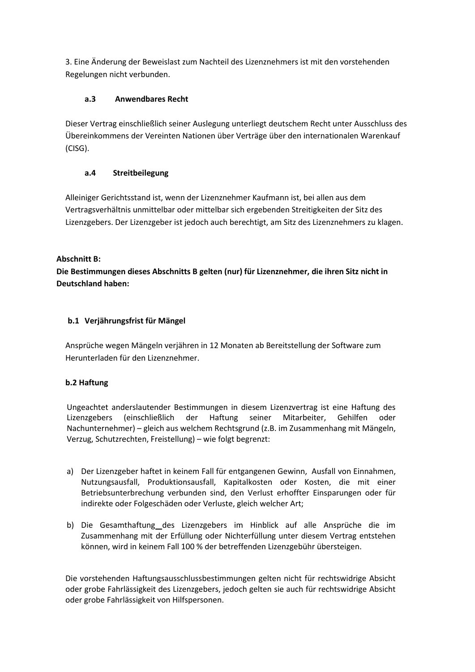3. Eine Änderung der Beweislast zum Nachteil des Lizenznehmers ist mit den vorstehenden Regelungen nicht verbunden.

## **a.3 Anwendbares Recht**

Dieser Vertrag einschließlich seiner Auslegung unterliegt deutschem Recht unter Ausschluss des Übereinkommens der Vereinten Nationen über Verträge über den internationalen Warenkauf (CISG).

## **a.4 Streitbeilegung**

Alleiniger Gerichtsstand ist, wenn der Lizenznehmer Kaufmann ist, bei allen aus dem Vertragsverhältnis unmittelbar oder mittelbar sich ergebenden Streitigkeiten der Sitz des Lizenzgebers. Der Lizenzgeber ist jedoch auch berechtigt, am Sitz des Lizenznehmers zu klagen.

## **Abschnitt B:**

**Die Bestimmungen dieses Abschnitts B gelten (nur) für Lizenznehmer, die ihren Sitz nicht in Deutschland haben:**

## **b.1 Verjährungsfrist für Mängel**

Ansprüche wegen Mängeln verjähren in 12 Monaten ab Bereitstellung der Software zum Herunterladen für den Lizenznehmer.

## **b.2 Haftung**

Ungeachtet anderslautender Bestimmungen in diesem Lizenzvertrag ist eine Haftung des Lizenzgebers (einschließlich der Haftung seiner Mitarbeiter, Gehilfen oder Nachunternehmer) – gleich aus welchem Rechtsgrund (z.B. im Zusammenhang mit Mängeln, Verzug, Schutzrechten, Freistellung) – wie folgt begrenzt:

- a) Der Lizenzgeber haftet in keinem Fall für entgangenen Gewinn, Ausfall von Einnahmen, Nutzungsausfall, Produktionsausfall, Kapitalkosten oder Kosten, die mit einer Betriebsunterbrechung verbunden sind, den Verlust erhoffter Einsparungen oder für indirekte oder Folgeschäden oder Verluste, gleich welcher Art;
- b) Die Gesamthaftung des Lizenzgebers im Hinblick auf alle Ansprüche die im Zusammenhang mit der Erfüllung oder Nichterfüllung unter diesem Vertrag entstehen können, wird in keinem Fall 100 % der betreffenden Lizenzgebühr übersteigen.

Die vorstehenden Haftungsausschlussbestimmungen gelten nicht für rechtswidrige Absicht oder grobe Fahrlässigkeit des Lizenzgebers, jedoch gelten sie auch für rechtswidrige Absicht oder grobe Fahrlässigkeit von Hilfspersonen.